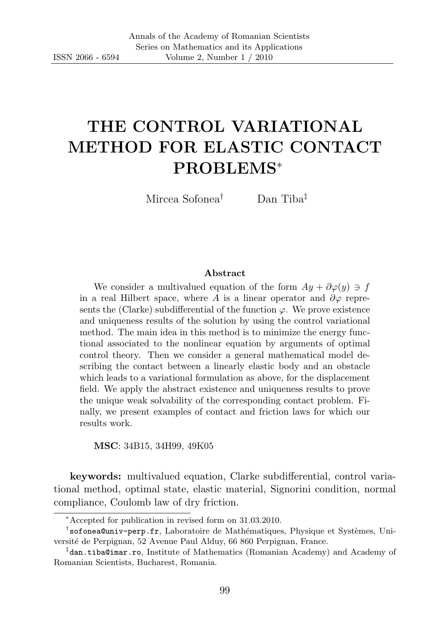# THE CONTROL VARIATIONAL METHOD FOR ELASTIC CONTACT PROBLEMS<sup>∗</sup>

Mircea Sofonea† Dan Tiba‡

#### Abstract

We consider a multivalued equation of the form  $Ay + \partial \varphi(y) \ni f$ in a real Hilbert space, where A is a linear operator and  $\partial \varphi$  represents the (Clarke) subdifferential of the function  $\varphi$ . We prove existence and uniqueness results of the solution by using the control variational method. The main idea in this method is to minimize the energy functional associated to the nonlinear equation by arguments of optimal control theory. Then we consider a general mathematical model describing the contact between a linearly elastic body and an obstacle which leads to a variational formulation as above, for the displacement field. We apply the abstract existence and uniqueness results to prove the unique weak solvability of the corresponding contact problem. Finally, we present examples of contact and friction laws for which our results work.

MSC: 34B15, 34H99, 49K05

keywords: multivalued equation, Clarke subdifferential, control variational method, optimal state, elastic material, Signorini condition, normal compliance, Coulomb law of dry friction.

<sup>∗</sup>Accepted for publication in revised form on 31.03.2010.

<sup>&</sup>lt;sup>†</sup>sofonea@univ-perp.fr, Laboratoire de Mathématiques, Physique et Systèmes, Université de Perpignan, 52 Avenue Paul Alduy, 66 860 Perpignan, France.

<sup>‡</sup> dan.tiba@imar.ro, Institute of Mathematics (Romanian Academy) and Academy of Romanian Scientists, Bucharest, Romania.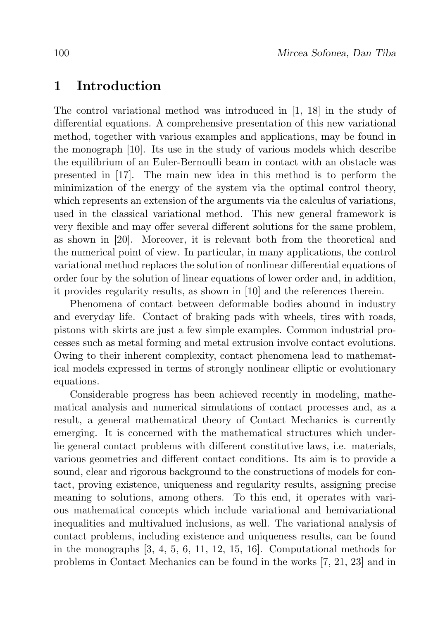#### 1 Introduction

The control variational method was introduced in [1, 18] in the study of differential equations. A comprehensive presentation of this new variational method, together with various examples and applications, may be found in the monograph [10]. Its use in the study of various models which describe the equilibrium of an Euler-Bernoulli beam in contact with an obstacle was presented in [17]. The main new idea in this method is to perform the minimization of the energy of the system via the optimal control theory, which represents an extension of the arguments via the calculus of variations, used in the classical variational method. This new general framework is very flexible and may offer several different solutions for the same problem, as shown in [20]. Moreover, it is relevant both from the theoretical and the numerical point of view. In particular, in many applications, the control variational method replaces the solution of nonlinear differential equations of order four by the solution of linear equations of lower order and, in addition, it provides regularity results, as shown in [10] and the references therein.

Phenomena of contact between deformable bodies abound in industry and everyday life. Contact of braking pads with wheels, tires with roads, pistons with skirts are just a few simple examples. Common industrial processes such as metal forming and metal extrusion involve contact evolutions. Owing to their inherent complexity, contact phenomena lead to mathematical models expressed in terms of strongly nonlinear elliptic or evolutionary equations.

Considerable progress has been achieved recently in modeling, mathematical analysis and numerical simulations of contact processes and, as a result, a general mathematical theory of Contact Mechanics is currently emerging. It is concerned with the mathematical structures which underlie general contact problems with different constitutive laws, i.e. materials, various geometries and different contact conditions. Its aim is to provide a sound, clear and rigorous background to the constructions of models for contact, proving existence, uniqueness and regularity results, assigning precise meaning to solutions, among others. To this end, it operates with various mathematical concepts which include variational and hemivariational inequalities and multivalued inclusions, as well. The variational analysis of contact problems, including existence and uniqueness results, can be found in the monographs [3, 4, 5, 6, 11, 12, 15, 16]. Computational methods for problems in Contact Mechanics can be found in the works [7, 21, 23] and in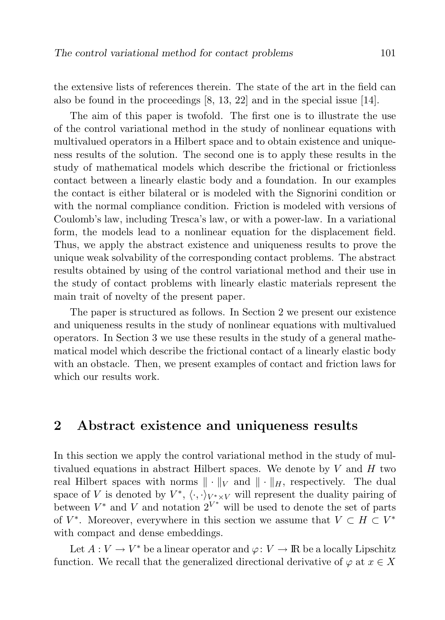the extensive lists of references therein. The state of the art in the field can also be found in the proceedings [8, 13, 22] and in the special issue [14].

The aim of this paper is twofold. The first one is to illustrate the use of the control variational method in the study of nonlinear equations with multivalued operators in a Hilbert space and to obtain existence and uniqueness results of the solution. The second one is to apply these results in the study of mathematical models which describe the frictional or frictionless contact between a linearly elastic body and a foundation. In our examples the contact is either bilateral or is modeled with the Signorini condition or with the normal compliance condition. Friction is modeled with versions of Coulomb's law, including Tresca's law, or with a power-law. In a variational form, the models lead to a nonlinear equation for the displacement field. Thus, we apply the abstract existence and uniqueness results to prove the unique weak solvability of the corresponding contact problems. The abstract results obtained by using of the control variational method and their use in the study of contact problems with linearly elastic materials represent the main trait of novelty of the present paper.

The paper is structured as follows. In Section 2 we present our existence and uniqueness results in the study of nonlinear equations with multivalued operators. In Section 3 we use these results in the study of a general mathematical model which describe the frictional contact of a linearly elastic body with an obstacle. Then, we present examples of contact and friction laws for which our results work.

### 2 Abstract existence and uniqueness results

In this section we apply the control variational method in the study of multivalued equations in abstract Hilbert spaces. We denote by  $V$  and  $H$  two real Hilbert spaces with norms  $\|\cdot\|_V$  and  $\|\cdot\|_H$ , respectively. The dual space of V is denoted by  $V^*, \langle \cdot, \cdot \rangle_{V^* \times V}$  will represent the duality pairing of between  $V^*$  and  $V$  and notation  $2^{V^*}$  will be used to denote the set of parts of  $V^*$ . Moreover, everywhere in this section we assume that  $V \subset H \subset V^*$ with compact and dense embeddings.

Let  $A: V \to V^*$  be a linear operator and  $\varphi: V \to \mathbb{R}$  be a locally Lipschitz function. We recall that the generalized directional derivative of  $\varphi$  at  $x \in X$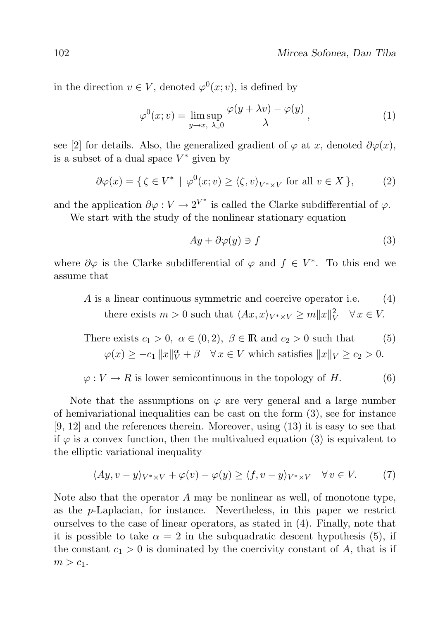in the direction  $v \in V$ , denoted  $\varphi^0(x; v)$ , is defined by

$$
\varphi^{0}(x; v) = \limsup_{y \to x, \ \lambda \downarrow 0} \frac{\varphi(y + \lambda v) - \varphi(y)}{\lambda}, \tag{1}
$$

see [2] for details. Also, the generalized gradient of  $\varphi$  at x, denoted  $\partial \varphi(x)$ , is a subset of a dual space  $V^*$  given by

$$
\partial \varphi(x) = \{ \zeta \in V^* \mid \varphi^0(x; v) \ge \langle \zeta, v \rangle_{V^* \times V} \text{ for all } v \in X \},\tag{2}
$$

and the application  $\partial \varphi : V \to 2^{V^*}$  is called the Clarke subdifferential of  $\varphi$ . We start with the study of the nonlinear stationary equation

$$
Ay + \partial \varphi(y) \ni f \tag{3}
$$

where  $\partial \varphi$  is the Clarke subdifferential of  $\varphi$  and  $f \in V^*$ . To this end we assume that

A is a linear continuous symmetric and coercive operator i.e. (4) there exists  $m > 0$  such that  $\langle Ax, x \rangle_{V^* \times V} \ge m||x||_V^2 \quad \forall x \in V$ .

There exists  $c_1 > 0$ ,  $\alpha \in (0, 2)$ ,  $\beta \in \mathbb{R}$  and  $c_2 > 0$  such that (5)  $\varphi(x) \geq -c_1 \|x\|_V^{\alpha} + \beta \quad \forall x \in V$  which satisfies  $\|x\|_V \geq c_2 > 0$ .

 $\varphi: V \to R$  is lower semicontinuous in the topology of H. (6)

Note that the assumptions on  $\varphi$  are very general and a large number of hemivariational inequalities can be cast on the form (3), see for instance [9, 12] and the references therein. Moreover, using (13) it is easy to see that if  $\varphi$  is a convex function, then the multivalued equation (3) is equivalent to the elliptic variational inequality

$$
\langle Ay, v - y \rangle_{V^* \times V} + \varphi(v) - \varphi(y) \ge \langle f, v - y \rangle_{V^* \times V} \quad \forall v \in V. \tag{7}
$$

Note also that the operator A may be nonlinear as well, of monotone type, as the p-Laplacian, for instance. Nevertheless, in this paper we restrict ourselves to the case of linear operators, as stated in (4). Finally, note that it is possible to take  $\alpha = 2$  in the subquadratic descent hypothesis (5), if the constant  $c_1 > 0$  is dominated by the coercivity constant of A, that is if  $m > c_1$ .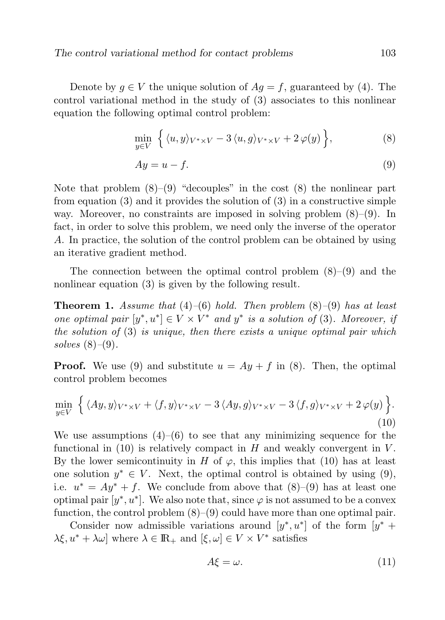Denote by  $g \in V$  the unique solution of  $Ag = f$ , guaranteed by (4). The control variational method in the study of (3) associates to this nonlinear equation the following optimal control problem:

$$
\min_{y \in V} \left\{ \langle u, y \rangle_{V^* \times V} - 3 \langle u, g \rangle_{V^* \times V} + 2 \varphi(y) \right\},\tag{8}
$$

$$
Ay = u - f.\tag{9}
$$

Note that problem  $(8)$ – $(9)$  "decouples" in the cost  $(8)$  the nonlinear part from equation  $(3)$  and it provides the solution of  $(3)$  in a constructive simple way. Moreover, no constraints are imposed in solving problem  $(8)-(9)$ . In fact, in order to solve this problem, we need only the inverse of the operator A. In practice, the solution of the control problem can be obtained by using an iterative gradient method.

The connection between the optimal control problem  $(8)$ – $(9)$  and the nonlinear equation (3) is given by the following result.

**Theorem 1.** Assume that  $(4)$ – $(6)$  hold. Then problem  $(8)$ – $(9)$  has at least one optimal pair  $[y^*, u^*] \in V \times V^*$  and  $y^*$  is a solution of (3). Moreover, if the solution of  $(3)$  is unique, then there exists a unique optimal pair which solves  $(8)–(9)$ .

**Proof.** We use (9) and substitute  $u = Ay + f$  in (8). Then, the optimal control problem becomes

$$
\min_{y \in V} \left\{ \langle Ay, y \rangle_{V^* \times V} + \langle f, y \rangle_{V^* \times V} - 3 \langle Ay, g \rangle_{V^* \times V} - 3 \langle f, g \rangle_{V^* \times V} + 2 \varphi(y) \right\}.
$$
\n(10)

We use assumptions  $(4)$ – $(6)$  to see that any minimizing sequence for the functional in  $(10)$  is relatively compact in H and weakly convergent in V. By the lower semicontinuity in H of  $\varphi$ , this implies that (10) has at least one solution  $y^* \in V$ . Next, the optimal control is obtained by using (9), i.e.  $u^* = Ay^* + f$ . We conclude from above that  $(8)$ – $(9)$  has at least one optimal pair  $[y^*, u^*]$ . We also note that, since  $\varphi$  is not assumed to be a convex function, the control problem  $(8)$ – $(9)$  could have more than one optimal pair.

Consider now admissible variations around  $[y^*, u^*]$  of the form  $[y^* +$  $\lambda \xi, u^* + \lambda \omega$  where  $\lambda \in \mathbb{R}_+$  and  $[\xi, \omega] \in V \times V^*$  satisfies

$$
A\xi = \omega. \tag{11}
$$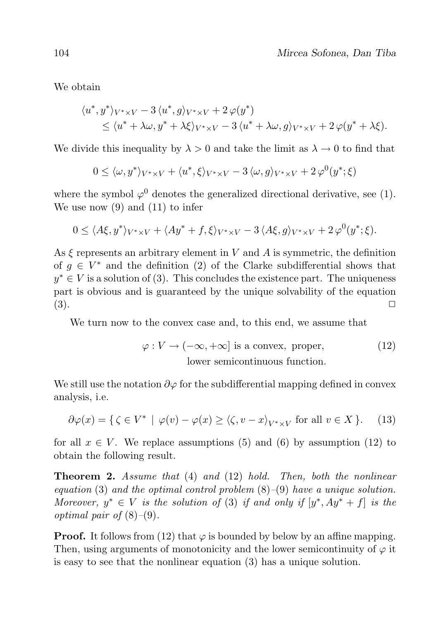We obtain

$$
\langle u^*, y^* \rangle_{V^* \times V} - 3 \langle u^*, g \rangle_{V^* \times V} + 2 \varphi(y^*)
$$
  
\$\leq \langle u^\* + \lambda \omega, y^\* + \lambda \xi \rangle\_{V^\* \times V} - 3 \langle u^\* + \lambda \omega, g \rangle\_{V^\* \times V} + 2 \varphi(y^\* + \lambda \xi).

We divide this inequality by  $\lambda > 0$  and take the limit as  $\lambda \to 0$  to find that

$$
0 \le \langle \omega, y^* \rangle_{V^* \times V} + \langle u^*, \xi \rangle_{V^* \times V} - 3 \langle \omega, g \rangle_{V^* \times V} + 2 \varphi^0(y^*; \xi)
$$

where the symbol  $\varphi^0$  denotes the generalized directional derivative, see (1). We use now (9) and (11) to infer

$$
0 \le \langle A\xi, y^* \rangle_{V^* \times V} + \langle Ay^* + f, \xi \rangle_{V^* \times V} - 3 \langle A\xi, g \rangle_{V^* \times V} + 2 \varphi^0(y^*; \xi).
$$

As  $\xi$  represents an arbitrary element in V and A is symmetric, the definition of  $g \in V^*$  and the definition (2) of the Clarke subdifferential shows that  $y^* \in V$  is a solution of (3). This concludes the existence part. The uniqueness part is obvious and is guaranteed by the unique solvability of the equation  $(3).$ 

We turn now to the convex case and, to this end, we assume that

$$
\varphi: V \to (-\infty, +\infty] \text{ is a convex, proper,}
$$
\n(12)  
\nlower semicontinuous function.

We still use the notation  $\partial \varphi$  for the subdifferential mapping defined in convex analysis, i.e.

$$
\partial \varphi(x) = \{ \zeta \in V^* \mid \varphi(v) - \varphi(x) \ge \langle \zeta, v - x \rangle_{V^* \times V} \text{ for all } v \in X \}. \tag{13}
$$

for all  $x \in V$ . We replace assumptions (5) and (6) by assumption (12) to obtain the following result.

**Theorem 2.** Assume that  $(4)$  and  $(12)$  hold. Then, both the nonlinear equation (3) and the optimal control problem  $(8)$ – $(9)$  have a unique solution. Moreover,  $y^* \in V$  is the solution of (3) if and only if  $[y^*, Ay^* + f]$  is the optimal pair of  $(8)$ – $(9)$ .

**Proof.** It follows from (12) that  $\varphi$  is bounded by below by an affine mapping. Then, using arguments of monotonicity and the lower semicontinuity of  $\varphi$  it is easy to see that the nonlinear equation (3) has a unique solution.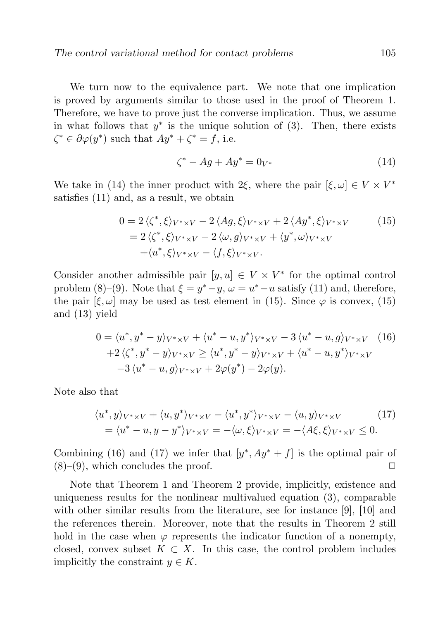We turn now to the equivalence part. We note that one implication is proved by arguments similar to those used in the proof of Theorem 1. Therefore, we have to prove just the converse implication. Thus, we assume in what follows that  $y^*$  is the unique solution of (3). Then, there exists  $\zeta^* \in \partial \varphi(y^*)$  such that  $Ay^* + \zeta^* = f$ , i.e.

$$
\zeta^* - Ag + Ay^* = 0_{V^*} \tag{14}
$$

We take in (14) the inner product with 2 $\xi$ , where the pair  $[\xi, \omega] \in V \times V^*$ satisfies (11) and, as a result, we obtain

$$
0 = 2 \langle \zeta^*, \xi \rangle_{V^* \times V} - 2 \langle Ag, \xi \rangle_{V^* \times V} + 2 \langle Ay^*, \xi \rangle_{V^* \times V}
$$
  
=  $2 \langle \zeta^*, \xi \rangle_{V^* \times V} - 2 \langle \omega, g \rangle_{V^* \times V} + \langle y^*, \omega \rangle_{V^* \times V}$   
+  $\langle u^*, \xi \rangle_{V^* \times V} - \langle f, \xi \rangle_{V^* \times V}.$  (15)

Consider another admissible pair  $[y, u] \in V \times V^*$  for the optimal control problem (8)–(9). Note that  $\xi = y^* - y$ ,  $\omega = u^* - u$  satisfy (11) and, therefore, the pair  $[\xi, \omega]$  may be used as test element in (15). Since  $\varphi$  is convex, (15) and (13) yield

$$
0 = \langle u^*, y^* - y \rangle_{V^* \times V} + \langle u^* - u, y^* \rangle_{V^* \times V} - 3 \langle u^* - u, g \rangle_{V^* \times V} \quad (16)
$$
  
+2 \langle \zeta^\*, y^\* - y \rangle\_{V^\* \times V} \ge \langle u^\*, y^\* - y \rangle\_{V^\* \times V} + \langle u^\* - u, y^\* \rangle\_{V^\* \times V}   
-3 \langle u^\* - u, g \rangle\_{V^\* \times V} + 2 \varphi(y^\*) - 2 \varphi(y).

Note also that

$$
\langle u^*, y \rangle_{V^* \times V} + \langle u, y^* \rangle_{V^* \times V} - \langle u^*, y^* \rangle_{V^* \times V} - \langle u, y \rangle_{V^* \times V}
$$
\n
$$
= \langle u^* - u, y - y^* \rangle_{V^* \times V} = -\langle \omega, \xi \rangle_{V^* \times V} = -\langle A\xi, \xi \rangle_{V^* \times V} \le 0.
$$
\n(17)

Combining (16) and (17) we infer that  $[y^*, Ay^* + f]$  is the optimal pair of  $(8)$ – $(9)$ , which concludes the proof.  $\Box$ 

Note that Theorem 1 and Theorem 2 provide, implicitly, existence and uniqueness results for the nonlinear multivalued equation (3), comparable with other similar results from the literature, see for instance [9], [10] and the references therein. Moreover, note that the results in Theorem 2 still hold in the case when  $\varphi$  represents the indicator function of a nonempty, closed, convex subset  $K \subset X$ . In this case, the control problem includes implicitly the constraint  $y \in K$ .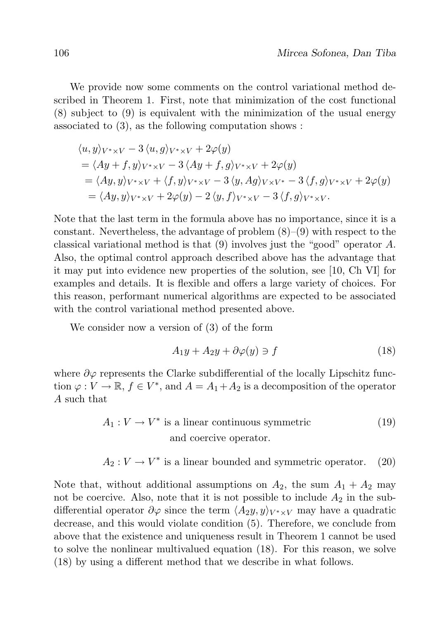We provide now some comments on the control variational method described in Theorem 1. First, note that minimization of the cost functional (8) subject to (9) is equivalent with the minimization of the usual energy associated to (3), as the following computation shows :

$$
\langle u, y \rangle_{V^* \times V} - 3 \langle u, g \rangle_{V^* \times V} + 2\varphi(y)
$$
  
=  $\langle Ay + f, y \rangle_{V^* \times V} - 3 \langle Ay + f, g \rangle_{V^* \times V} + 2\varphi(y)$   
=  $\langle Ay, y \rangle_{V^* \times V} + \langle f, y \rangle_{V^* \times V} - 3 \langle y, Ag \rangle_{V \times V^*} - 3 \langle f, g \rangle_{V^* \times V} + 2\varphi(y)$   
=  $\langle Ay, y \rangle_{V^* \times V} + 2\varphi(y) - 2 \langle y, f \rangle_{V^* \times V} - 3 \langle f, g \rangle_{V^* \times V}.$ 

Note that the last term in the formula above has no importance, since it is a constant. Nevertheless, the advantage of problem  $(8)-(9)$  with respect to the classical variational method is that (9) involves just the "good" operator A. Also, the optimal control approach described above has the advantage that it may put into evidence new properties of the solution, see [10, Ch VI] for examples and details. It is flexible and offers a large variety of choices. For this reason, performant numerical algorithms are expected to be associated with the control variational method presented above.

We consider now a version of (3) of the form

$$
A_1y + A_2y + \partial\varphi(y) \ni f \tag{18}
$$

where  $\partial \varphi$  represents the Clarke subdifferential of the locally Lipschitz function  $\varphi: V \to \mathbb{R}, f \in V^*$ , and  $A = A_1 + A_2$  is a decomposition of the operator A such that

$$
A_1: V \to V^* \text{ is a linear continuous symmetric}
$$
 and coercive operator. (19)

$$
A_2: V \to V^*
$$
 is a linear bounded and symmetric operator. (20)

Note that, without additional assumptions on  $A_2$ , the sum  $A_1 + A_2$  may not be coercive. Also, note that it is not possible to include  $A_2$  in the subdifferential operator  $\partial \varphi$  since the term  $\langle A_2y, y \rangle_{V^* \times V}$  may have a quadratic decrease, and this would violate condition (5). Therefore, we conclude from above that the existence and uniqueness result in Theorem 1 cannot be used to solve the nonlinear multivalued equation (18). For this reason, we solve (18) by using a different method that we describe in what follows.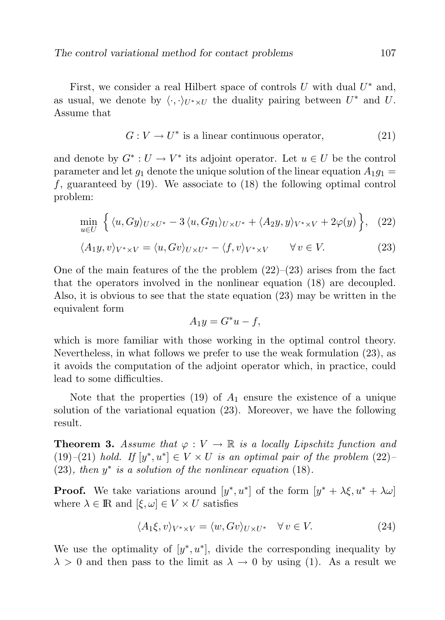First, we consider a real Hilbert space of controls  $U$  with dual  $U^*$  and, as usual, we denote by  $\langle \cdot, \cdot \rangle_{U^* \times U}$  the duality pairing between  $U^*$  and U. Assume that

$$
G: V \to U^* \text{ is a linear continuous operator}, \tag{21}
$$

and denote by  $G^*: U \to V^*$  its adjoint operator. Let  $u \in U$  be the control parameter and let  $g_1$  denote the unique solution of the linear equation  $A_1g_1 =$ f, guaranteed by  $(19)$ . We associate to  $(18)$  the following optimal control problem:

$$
\min_{u \in U} \left\{ \langle u, Gy \rangle_{U \times U^*} - 3 \langle u, Gg_1 \rangle_{U \times U^*} + \langle A_2 y, y \rangle_{V^* \times V} + 2 \varphi(y) \right\}, \quad (22)
$$

$$
\langle A_1 y, v \rangle_{V^* \times V} = \langle u, Gv \rangle_{U \times U^*} - \langle f, v \rangle_{V^* \times V} \qquad \forall v \in V. \tag{23}
$$

One of the main features of the the problem  $(22)$ – $(23)$  arises from the fact that the operators involved in the nonlinear equation (18) are decoupled. Also, it is obvious to see that the state equation (23) may be written in the equivalent form

$$
A_1 y = G^* u - f,
$$

which is more familiar with those working in the optimal control theory. Nevertheless, in what follows we prefer to use the weak formulation (23), as it avoids the computation of the adjoint operator which, in practice, could lead to some difficulties.

Note that the properties (19) of  $A_1$  ensure the existence of a unique solution of the variational equation (23). Moreover, we have the following result.

**Theorem 3.** Assume that  $\varphi: V \to \mathbb{R}$  is a locally Lipschitz function and (19)–(21) hold. If  $[y^*, u^*] \in V \times U$  is an optimal pair of the problem (22)–  $(23)$ , then  $y^*$  is a solution of the nonlinear equation  $(18)$ .

**Proof.** We take variations around  $[y^*, u^*]$  of the form  $[y^* + \lambda \xi, u^* + \lambda \omega]$ where  $\lambda \in \mathbb{R}$  and  $[\xi, \omega] \in V \times U$  satisfies

$$
\langle A_1 \xi, v \rangle_{V^* \times V} = \langle w, Gv \rangle_{U \times U^*} \quad \forall v \in V. \tag{24}
$$

We use the optimality of  $[y^*, u^*]$ , divide the corresponding inequality by  $\lambda > 0$  and then pass to the limit as  $\lambda \to 0$  by using (1). As a result we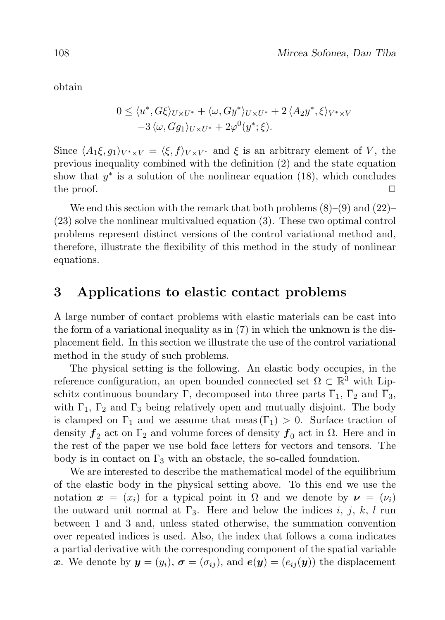obtain

$$
0 \le \langle u^*, G\xi \rangle_{U \times U^*} + \langle \omega, Gy^* \rangle_{U \times U^*} + 2 \langle A_2 y^*, \xi \rangle_{V^* \times V}
$$
  
-3  $\langle \omega, Gg_1 \rangle_{U \times U^*} + 2\varphi^0(y^*; \xi).$ 

Since  $\langle A_1 \xi, g_1 \rangle_{V^* \times V} = \langle \xi, f \rangle_{V \times V^*}$  and  $\xi$  is an arbitrary element of V, the previous inequality combined with the definition (2) and the state equation show that  $y^*$  is a solution of the nonlinear equation (18), which concludes the proof.  $\Box$ 

We end this section with the remark that both problems  $(8)$ – $(9)$  and  $(22)$ – (23) solve the nonlinear multivalued equation (3). These two optimal control problems represent distinct versions of the control variational method and, therefore, illustrate the flexibility of this method in the study of nonlinear equations.

## 3 Applications to elastic contact problems

A large number of contact problems with elastic materials can be cast into the form of a variational inequality as in (7) in which the unknown is the displacement field. In this section we illustrate the use of the control variational method in the study of such problems.

The physical setting is the following. An elastic body occupies, in the reference configuration, an open bounded connected set  $\Omega \subset \mathbb{R}^3$  with Lipschitz continuous boundary Γ, decomposed into three parts  $\overline{\Gamma}_1$ ,  $\overline{\Gamma}_2$  and  $\overline{\Gamma}_3$ , with  $\Gamma_1$ ,  $\Gamma_2$  and  $\Gamma_3$  being relatively open and mutually disjoint. The body is clamped on  $\Gamma_1$  and we assume that meas  $(\Gamma_1) > 0$ . Surface traction of density  $f_2$  act on  $\Gamma_2$  and volume forces of density  $f_0$  act in  $\Omega$ . Here and in the rest of the paper we use bold face letters for vectors and tensors. The body is in contact on  $\Gamma_3$  with an obstacle, the so-called foundation.

We are interested to describe the mathematical model of the equilibrium of the elastic body in the physical setting above. To this end we use the notation  $x = (x_i)$  for a typical point in  $\Omega$  and we denote by  $\nu = (\nu_i)$ the outward unit normal at  $\Gamma_3$ . Here and below the indices i, j, k, l run between 1 and 3 and, unless stated otherwise, the summation convention over repeated indices is used. Also, the index that follows a coma indicates a partial derivative with the corresponding component of the spatial variable x. We denote by  $y = (y_i)$ ,  $\sigma = (\sigma_{ij})$ , and  $e(y) = (e_{ij}(y))$  the displacement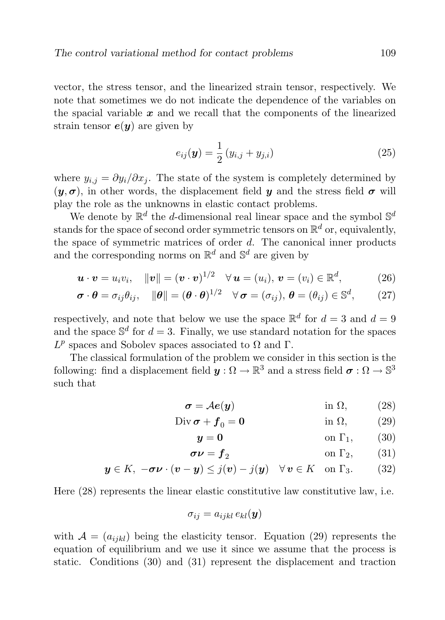vector, the stress tensor, and the linearized strain tensor, respectively. We note that sometimes we do not indicate the dependence of the variables on the spacial variable  $x$  and we recall that the components of the linearized strain tensor  $e(\boldsymbol{y})$  are given by

$$
e_{ij}(\mathbf{y}) = \frac{1}{2} (y_{i,j} + y_{j,i})
$$
 (25)

where  $y_{i,j} = \partial y_i / \partial x_j$ . The state of the system is completely determined by  $(y, \sigma)$ , in other words, the displacement field y and the stress field  $\sigma$  will play the role as the unknowns in elastic contact problems.

We denote by  $\mathbb{R}^d$  the d-dimensional real linear space and the symbol  $\mathbb{S}^d$ stands for the space of second order symmetric tensors on  $\mathbb{R}^d$  or, equivalently, the space of symmetric matrices of order  $d$ . The canonical inner products and the corresponding norms on  $\mathbb{R}^d$  and  $\mathbb{S}^d$  are given by

$$
\mathbf{u} \cdot \mathbf{v} = u_i v_i, \quad \|\mathbf{v}\| = (\mathbf{v} \cdot \mathbf{v})^{1/2} \quad \forall \mathbf{u} = (u_i), \mathbf{v} = (v_i) \in \mathbb{R}^d,
$$
 (26)

$$
\boldsymbol{\sigma} \cdot \boldsymbol{\theta} = \sigma_{ij} \theta_{ij}, \quad \|\boldsymbol{\theta}\| = (\boldsymbol{\theta} \cdot \boldsymbol{\theta})^{1/2} \quad \forall \, \boldsymbol{\sigma} = (\sigma_{ij}), \, \boldsymbol{\theta} = (\theta_{ij}) \in \mathbb{S}^d, \qquad (27)
$$

respectively, and note that below we use the space  $\mathbb{R}^d$  for  $d=3$  and  $d=9$ and the space  $\mathbb{S}^d$  for  $d=3$ . Finally, we use standard notation for the spaces  $L^p$  spaces and Sobolev spaces associated to  $\Omega$  and  $\Gamma$ .

The classical formulation of the problem we consider in this section is the following: find a displacement field  $\bm{y}:\Omega\to\mathbb{R}^3$  and a stress field  $\bm{\sigma}:\Omega\to\mathbb{S}^3$ such that

$$
\sigma = Ae(y) \qquad \qquad \text{in } \Omega, \qquad (28)
$$

$$
\text{Div}\,\boldsymbol{\sigma} + \boldsymbol{f}_0 = \mathbf{0} \qquad \text{in } \Omega, \qquad (29)
$$

$$
y = 0 \qquad \qquad \text{on } \Gamma_1,\qquad(30)
$$

$$
\sigma \nu = f_2 \qquad \qquad \text{on } \Gamma_2, \qquad (31)
$$

$$
\mathbf{y} \in K, \ -\boldsymbol{\sigma}\boldsymbol{\nu} \cdot (\boldsymbol{v} - \boldsymbol{y}) \leq j(\boldsymbol{v}) - j(\boldsymbol{y}) \quad \forall \, \boldsymbol{v} \in K \quad \text{on } \Gamma_3. \tag{32}
$$

Here (28) represents the linear elastic constitutive law constitutive law, i.e.

$$
\sigma_{ij} = a_{ijkl} \, e_{kl}({\bm y})
$$

with  $A = (a_{ijkl})$  being the elasticity tensor. Equation (29) represents the equation of equilibrium and we use it since we assume that the process is static. Conditions (30) and (31) represent the displacement and traction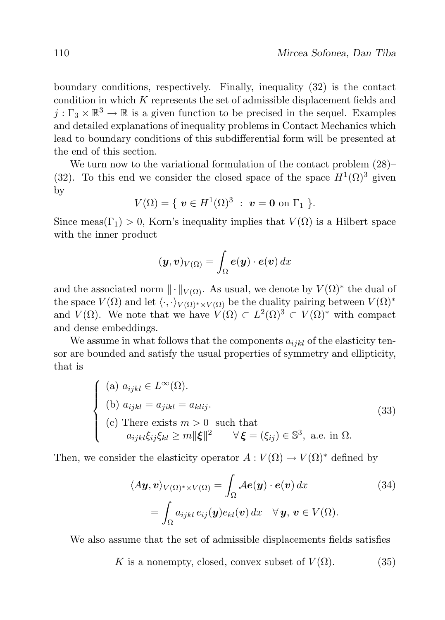boundary conditions, respectively. Finally, inequality (32) is the contact condition in which  $K$  represents the set of admissible displacement fields and  $j: \Gamma_3 \times \mathbb{R}^3 \to \mathbb{R}$  is a given function to be precised in the sequel. Examples and detailed explanations of inequality problems in Contact Mechanics which lead to boundary conditions of this subdifferential form will be presented at the end of this section.

We turn now to the variational formulation of the contact problem (28)– (32). To this end we consider the closed space of the space  $H^1(\Omega)^3$  given by

$$
V(\Omega) = \{ \ \bm{v} \in H^1(\Omega)^3 \ : \ \bm{v} = \bm{0} \text{ on } \Gamma_1 \ \}.
$$

Since meas( $\Gamma_1$ ) > 0, Korn's inequality implies that  $V(\Omega)$  is a Hilbert space with the inner product

$$
(\boldsymbol{y},\boldsymbol{v})_{V(\Omega)}=\int_{\Omega}\boldsymbol{e}(\boldsymbol{y})\cdot\boldsymbol{e}(\boldsymbol{v})\,dx
$$

and the associated norm  $\|\cdot\|_{V(\Omega)}$ . As usual, we denote by  $V(\Omega)^*$  the dual of the space  $V(\Omega)$  and let  $\langle \cdot, \cdot \rangle_{V(\Omega)^* \times V(\Omega)}$  be the duality pairing between  $V(\Omega)^*$ and  $V(\Omega)$ . We note that we have  $V(\Omega) \subset L^2(\Omega)^3 \subset V(\Omega)^*$  with compact and dense embeddings.

We assume in what follows that the components  $a_{ijkl}$  of the elasticity tensor are bounded and satisfy the usual properties of symmetry and ellipticity, that is

$$
\begin{cases}\n(a) \ a_{ijkl} \in L^{\infty}(\Omega). \\
(b) \ a_{ijkl} = a_{jikl} = a_{klij}.\n\end{cases}
$$
\n
$$
(2) \text{ There exists } m > 0 \text{ such that } a_{ijkl}\xi_{ij}\xi_{kl} \ge m \|\xi\|^2 \quad \forall \xi = (\xi_{ij}) \in \mathbb{S}^3, \text{ a.e. in } \Omega.
$$

Then, we consider the elasticity operator  $A: V(\Omega) \to V(\Omega)^*$  defined by

$$
\langle A\mathbf{y}, \mathbf{v} \rangle_{V(\Omega)^* \times V(\Omega)} = \int_{\Omega} A\mathbf{e}(\mathbf{y}) \cdot \mathbf{e}(\mathbf{v}) dx
$$
\n
$$
= \int_{\Omega} a_{ijkl} e_{ij}(\mathbf{y}) e_{kl}(\mathbf{v}) dx \quad \forall \mathbf{y}, \mathbf{v} \in V(\Omega).
$$
\n(34)

We also assume that the set of admissible displacements fields satisfies

K is a nonempty, closed, convex subset of  $V(\Omega)$ . (35)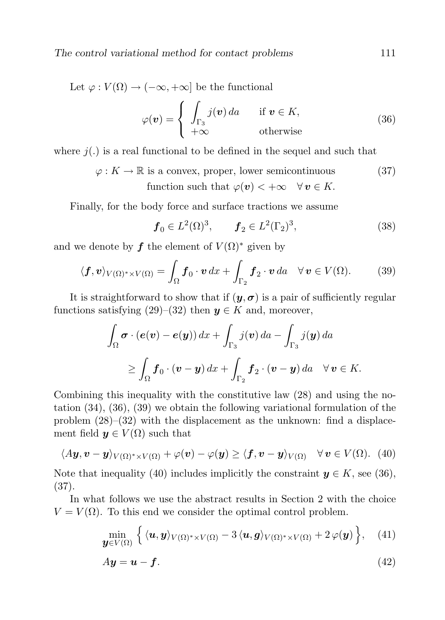Let  $\varphi: V(\Omega) \to (-\infty, +\infty]$  be the functional

$$
\varphi(\mathbf{v}) = \begin{cases} \int_{\Gamma_3} j(\mathbf{v}) \, da & \text{if } \mathbf{v} \in K, \\ +\infty & \text{otherwise} \end{cases}
$$
 (36)

where  $j(.)$  is a real functional to be defined in the sequel and such that

 $\varphi: K \to \mathbb{R}$  is a convex, proper, lower semicontinuous (37) function such that  $\varphi(\boldsymbol{v}) < +\infty \quad \forall \boldsymbol{v} \in K$ .

Finally, for the body force and surface tractions we assume

$$
f_0 \in L^2(\Omega)^3
$$
,  $f_2 \in L^2(\Gamma_2)^3$ , (38)

and we denote by f the element of  $V(\Omega)^*$  given by

$$
\langle \boldsymbol{f}, \boldsymbol{v} \rangle_{V(\Omega)^* \times V(\Omega)} = \int_{\Omega} \boldsymbol{f}_0 \cdot \boldsymbol{v} \, dx + \int_{\Gamma_2} \boldsymbol{f}_2 \cdot \boldsymbol{v} \, da \quad \forall \, \boldsymbol{v} \in V(\Omega). \tag{39}
$$

It is straightforward to show that if  $(y, \sigma)$  is a pair of sufficiently regular functions satisfying (29)–(32) then  $y \in K$  and, moreover,

$$
\int_{\Omega} \boldsymbol{\sigma} \cdot (\boldsymbol{e}(\boldsymbol{v}) - \boldsymbol{e}(\boldsymbol{y})) dx + \int_{\Gamma_3} j(\boldsymbol{v}) da - \int_{\Gamma_3} j(\boldsymbol{y}) da
$$
\n
$$
\geq \int_{\Omega} \boldsymbol{f}_0 \cdot (\boldsymbol{v} - \boldsymbol{y}) dx + \int_{\Gamma_2} \boldsymbol{f}_2 \cdot (\boldsymbol{v} - \boldsymbol{y}) da \quad \forall \, \boldsymbol{v} \in K.
$$

Combining this inequality with the constitutive law (28) and using the notation (34), (36), (39) we obtain the following variational formulation of the problem  $(28)$ – $(32)$  with the displacement as the unknown: find a displacement field  $y \in V(\Omega)$  such that

$$
\langle A\mathbf{y}, \mathbf{v}-\mathbf{y} \rangle_{V(\Omega)^* \times V(\Omega)} + \varphi(\mathbf{v}) - \varphi(\mathbf{y}) \ge \langle \mathbf{f}, \mathbf{v}-\mathbf{y} \rangle_{V(\Omega)} \quad \forall \mathbf{v} \in V(\Omega). \tag{40}
$$

Note that inequality (40) includes implicitly the constraint  $y \in K$ , see (36), (37).

In what follows we use the abstract results in Section 2 with the choice  $V = V(\Omega)$ . To this end we consider the optimal control problem.

$$
\min_{\boldsymbol{y}\in V(\Omega)}\left\{\langle \boldsymbol{u},\boldsymbol{y}\rangle_{V(\Omega)^*\times V(\Omega)}-3\langle \boldsymbol{u},\boldsymbol{g}\rangle_{V(\Omega)^*\times V(\Omega)}+2\,\varphi(\boldsymbol{y})\right\},\quad(41)
$$

$$
A\mathbf{y} = \mathbf{u} - \mathbf{f}.\tag{42}
$$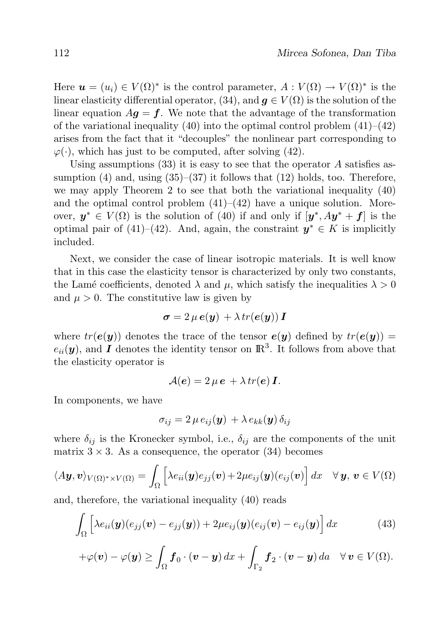Here  $u = (u_i) \in V(\Omega)^*$  is the control parameter,  $A: V(\Omega) \to V(\Omega)^*$  is the linear elasticity differential operator, (34), and  $q \in V(\Omega)$  is the solution of the linear equation  $A\mathbf{q} = \mathbf{f}$ . We note that the advantage of the transformation of the variational inequality  $(40)$  into the optimal control problem  $(41)$ – $(42)$ arises from the fact that it "decouples" the nonlinear part corresponding to  $\varphi(\cdot)$ , which has just to be computed, after solving (42).

Using assumptions  $(33)$  it is easy to see that the operator A satisfies assumption (4) and, using  $(35)$ – $(37)$  it follows that (12) holds, too. Therefore, we may apply Theorem 2 to see that both the variational inequality (40) and the optimal control problem  $(41)$ – $(42)$  have a unique solution. Moreover,  $y^* \in V(\Omega)$  is the solution of (40) if and only if  $[y^*, Ay^* + f]$  is the optimal pair of (41)–(42). And, again, the constraint  $y^* \in K$  is implicitly included.

Next, we consider the case of linear isotropic materials. It is well know that in this case the elasticity tensor is characterized by only two constants, the Lamé coefficients, denoted  $\lambda$  and  $\mu$ , which satisfy the inequalities  $\lambda > 0$ and  $\mu > 0$ . The constitutive law is given by

$$
\boldsymbol{\sigma} = 2 \,\mu \, \boldsymbol{e}(\boldsymbol{y}) + \lambda \, tr(\boldsymbol{e}(\boldsymbol{y})) \, \boldsymbol{I}
$$

where  $tr(e(\boldsymbol{y}))$  denotes the trace of the tensor  $e(\boldsymbol{y})$  defined by  $tr(e(\boldsymbol{y})) =$  $e_{ii}(\boldsymbol{y})$ , and **I** denotes the identity tensor on  $\mathbb{R}^3$ . It follows from above that the elasticity operator is

$$
\mathcal{A}(\boldsymbol{e}) = 2 \,\mu \,\boldsymbol{e} \, + \lambda \, tr(\boldsymbol{e}) \, \boldsymbol{I}.
$$

In components, we have

$$
\sigma_{ij}=2\,\mu\,e_{ij}(\bm{y})\,+\lambda\,e_{kk}(\bm{y})\,\delta_{ij}
$$

where  $\delta_{ij}$  is the Kronecker symbol, i.e.,  $\delta_{ij}$  are the components of the unit matrix  $3 \times 3$ . As a consequence, the operator (34) becomes

$$
\langle A\boldsymbol{y},\boldsymbol{v}\rangle_{V(\Omega)^*\times V(\Omega)}=\int_{\Omega}\Big[\lambda e_{ii}(\boldsymbol{y})e_{jj}(\boldsymbol{v})+2\mu e_{ij}(\boldsymbol{y})(e_{ij}(\boldsymbol{v})\Big]\,dx\quad\forall\,\boldsymbol{y},\,\boldsymbol{v}\in V(\Omega)
$$

and, therefore, the variational inequality (40) reads

$$
\int_{\Omega} \left[ \lambda e_{ii}(\boldsymbol{y}) (e_{jj}(\boldsymbol{v}) - e_{jj}(\boldsymbol{y})) + 2\mu e_{ij}(\boldsymbol{y}) (e_{ij}(\boldsymbol{v}) - e_{ij}(\boldsymbol{y})) \right] dx \tag{43}
$$

$$
+\varphi(\boldsymbol{v})-\varphi(\boldsymbol{y})\geq \int_{\Omega} \boldsymbol{f}_0\cdot(\boldsymbol{v}-\boldsymbol{y})\,dx+\int_{\Gamma_2} \boldsymbol{f}_2\cdot(\boldsymbol{v}-\boldsymbol{y})\,da\quad\forall\,\boldsymbol{v}\in V(\Omega).
$$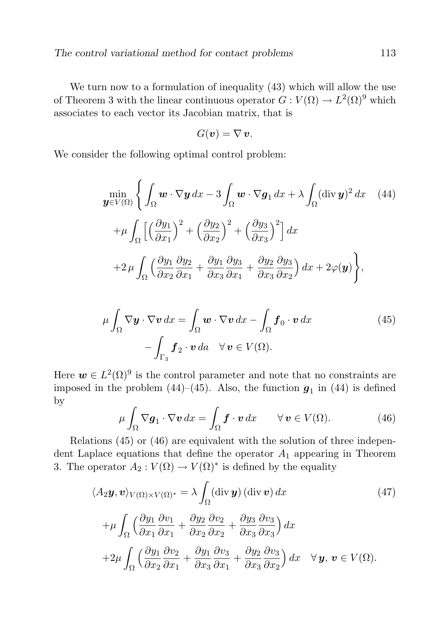We turn now to a formulation of inequality (43) which will allow the use of Theorem 3 with the linear continuous operator  $G: V(\Omega) \to L^2(\Omega)^9$  which associates to each vector its Jacobian matrix, that is

$$
G(\boldsymbol{v})=\nabla\,\boldsymbol{v}.
$$

We consider the following optimal control problem:

$$
\min_{\mathbf{y}\in V(\Omega)} \left\{ \int_{\Omega} \boldsymbol{w} \cdot \nabla \mathbf{y} \, dx - 3 \int_{\Omega} \boldsymbol{w} \cdot \nabla \mathbf{g}_1 \, dx + \lambda \int_{\Omega} (\text{div } \mathbf{y})^2 \, dx \quad (44)
$$

$$
+ \mu \int_{\Omega} \left[ \left( \frac{\partial y_1}{\partial x_1} \right)^2 + \left( \frac{\partial y_2}{\partial x_2} \right)^2 + \left( \frac{\partial y_3}{\partial x_3} \right)^2 \right] dx
$$

$$
+ 2 \mu \int_{\Omega} \left( \frac{\partial y_1}{\partial x_2} \frac{\partial y_2}{\partial x_1} + \frac{\partial y_1}{\partial x_3} \frac{\partial y_3}{\partial x_1} + \frac{\partial y_2}{\partial x_3} \frac{\partial y_3}{\partial x_2} \right) dx + 2\varphi(\mathbf{y}) \right\},
$$

$$
\mu \int_{\Omega} \nabla \mathbf{y} \cdot \nabla \mathbf{v} \, dx = \int_{\Omega} \mathbf{w} \cdot \nabla \mathbf{v} \, dx - \int_{\Omega} \mathbf{f}_0 \cdot \mathbf{v} \, dx
$$
\n
$$
- \int_{\Gamma_3} \mathbf{f}_2 \cdot \mathbf{v} \, da \quad \forall \mathbf{v} \in V(\Omega).
$$
\n(45)

Here  $w \in L^2(\Omega)^9$  is the control parameter and note that no constraints are imposed in the problem  $(44)$ – $(45)$ . Also, the function  $g_1$  in  $(44)$  is defined by

$$
\mu \int_{\Omega} \nabla \mathbf{g}_1 \cdot \nabla \mathbf{v} \, dx = \int_{\Omega} \mathbf{f} \cdot \mathbf{v} \, dx \qquad \forall \, \mathbf{v} \in V(\Omega). \tag{46}
$$

Relations (45) or (46) are equivalent with the solution of three independent Laplace equations that define the operator  $A_1$  appearing in Theorem 3. The operator  $A_2: V(\Omega) \to V(\Omega)^*$  is defined by the equality

$$
\langle A_2 \mathbf{y}, \mathbf{v} \rangle_{V(\Omega) \times V(\Omega)^*} = \lambda \int_{\Omega} (\text{div } \mathbf{y}) (\text{div } \mathbf{v}) dx
$$
(47)  
 
$$
+ \mu \int_{\Omega} \left( \frac{\partial y_1}{\partial x_1} \frac{\partial v_1}{\partial x_1} + \frac{\partial y_2}{\partial x_2} \frac{\partial v_2}{\partial x_2} + \frac{\partial y_3}{\partial x_3} \frac{\partial v_3}{\partial x_3} \right) dx
$$
  
+2
$$
\mu \int_{\Omega} \left( \frac{\partial y_1}{\partial x_2} \frac{\partial v_2}{\partial x_1} + \frac{\partial y_1}{\partial x_3} \frac{\partial v_3}{\partial x_1} + \frac{\partial y_2}{\partial x_3} \frac{\partial v_3}{\partial x_2} \right) dx \quad \forall \mathbf{y}, \mathbf{v} \in V(\Omega).
$$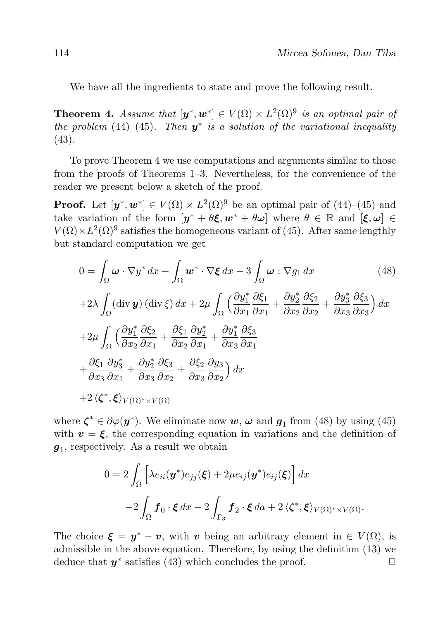We have all the ingredients to state and prove the following result.

**Theorem 4.** Assume that  $[\mathbf{y}^*, \mathbf{w}^*] \in V(\Omega) \times L^2(\Omega)^9$  is an optimal pair of the problem (44)–(45). Then  $y^*$  is a solution of the variational inequality (43).

To prove Theorem 4 we use computations and arguments similar to those from the proofs of Theorems 1–3. Nevertheless, for the convenience of the reader we present below a sketch of the proof.

**Proof.** Let  $[\mathbf{y}^*, \mathbf{w}^*] \in V(\Omega) \times L^2(\Omega)^9$  be an optimal pair of (44)–(45) and take variation of the form  $\left[y^* + \theta \xi, w^* + \theta \omega\right]$  where  $\theta \in \mathbb{R}$  and  $\left[\xi, \omega\right] \in$  $V(\Omega) \times L^2(\Omega)^9$  satisfies the homogeneous variant of (45). After same lengthly but standard computation we get

$$
0 = \int_{\Omega} \omega \cdot \nabla y^* dx + \int_{\Omega} \omega^* \cdot \nabla \xi dx - 3 \int_{\Omega} \omega : \nabla g_1 dx \qquad (48)
$$
  
+2 $\lambda \int_{\Omega} (\text{div } y) (\text{div } \xi) dx + 2\mu \int_{\Omega} \left( \frac{\partial y_1^*}{\partial x_1} \frac{\partial \xi_1}{\partial x_1} + \frac{\partial y_2^*}{\partial x_2} \frac{\partial \xi_2}{\partial x_2} + \frac{\partial y_3^*}{\partial x_3} \frac{\partial \xi_3}{\partial x_3} \right) dx$   
+2 $\mu \int_{\Omega} \left( \frac{\partial y_1^*}{\partial x_2} \frac{\partial \xi_2}{\partial x_1} + \frac{\partial \xi_1}{\partial x_2} \frac{\partial y_2^*}{\partial x_1} + \frac{\partial y_1^*}{\partial x_3} \frac{\partial \xi_3}{\partial x_1} + \frac{\partial y_2^*}{\partial x_3} \frac{\partial \xi_3}{\partial x_2} + \frac{\partial \xi_2}{\partial x_3} \frac{\partial y_3}{\partial x_2} \right) dx$   
+2 $\langle \zeta^*, \xi \rangle_{V(\Omega)^* \times V(\Omega)}$  (18)

where  $\zeta^* \in \partial \varphi(\mathbf{y}^*)$ . We eliminate now  $\mathbf{w}, \mathbf{\omega}$  and  $\mathbf{g}_1$  from (48) by using (45) with  $v = \xi$ , the corresponding equation in variations and the definition of  $g_1$ , respectively. As a result we obtain

$$
0 = 2 \int_{\Omega} \left[ \lambda e_{ii}(\mathbf{y}^*) e_{jj}(\boldsymbol{\xi}) + 2\mu e_{ij}(\mathbf{y}^*) e_{ij}(\boldsymbol{\xi}) \right] dx
$$

$$
-2 \int_{\Omega} \mathbf{f}_0 \cdot \boldsymbol{\xi} \, dx - 2 \int_{\Gamma_3} \mathbf{f}_2 \cdot \boldsymbol{\xi} \, da + 2 \langle \boldsymbol{\zeta}^*, \boldsymbol{\xi} \rangle_{V(\Omega)^* \times V(\Omega)}.
$$

The choice  $\xi = y^* - v$ , with v being an arbitrary element in  $\in V(\Omega)$ , is admissible in the above equation. Therefore, by using the definition (13) we deduce that  $y^*$  satisfies (43) which concludes the proof.  $\Box$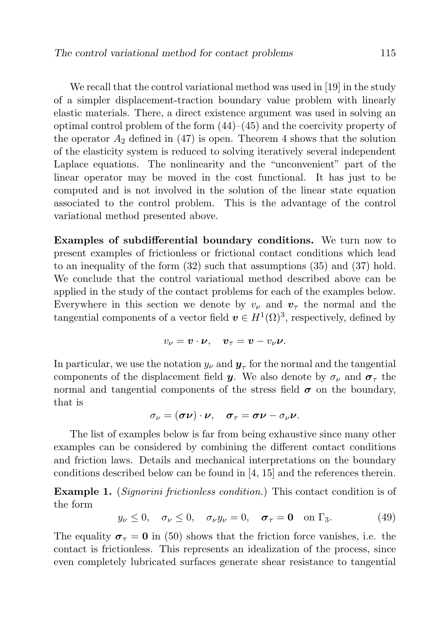We recall that the control variational method was used in [19] in the study of a simpler displacement-traction boundary value problem with linearly elastic materials. There, a direct existence argument was used in solving an optimal control problem of the form  $(44)$ – $(45)$  and the coercivity property of the operator  $A_2$  defined in (47) is open. Theorem 4 shows that the solution of the elasticity system is reduced to solving iteratively several independent Laplace equations. The nonlinearity and the "unconvenient" part of the linear operator may be moved in the cost functional. It has just to be computed and is not involved in the solution of the linear state equation associated to the control problem. This is the advantage of the control variational method presented above.

Examples of subdifferential boundary conditions. We turn now to present examples of frictionless or frictional contact conditions which lead to an inequality of the form (32) such that assumptions (35) and (37) hold. We conclude that the control variational method described above can be applied in the study of the contact problems for each of the examples below. Everywhere in this section we denote by  $v_{\nu}$  and  $v_{\tau}$  the normal and the tangential components of a vector field  $\boldsymbol{v} \in H^1(\Omega)^3$ , respectively, defined by

$$
v_{\nu} = \mathbf{v} \cdot \mathbf{\nu}, \quad \mathbf{v}_{\tau} = \mathbf{v} - v_{\nu} \mathbf{\nu}.
$$

In particular, we use the notation  $y_{\nu}$  and  $\boldsymbol{y}_{\tau}$  for the normal and the tangential components of the displacement field y. We also denote by  $\sigma_{\nu}$  and  $\sigma_{\tau}$  the normal and tangential components of the stress field  $\sigma$  on the boundary, that is

$$
\sigma_{\nu} = (\boldsymbol{\sigma} \boldsymbol{\nu}) \cdot \boldsymbol{\nu}, \quad \boldsymbol{\sigma}_{\tau} = \boldsymbol{\sigma} \boldsymbol{\nu} - \sigma_{\nu} \boldsymbol{\nu}.
$$

The list of examples below is far from being exhaustive since many other examples can be considered by combining the different contact conditions and friction laws. Details and mechanical interpretations on the boundary conditions described below can be found in [4, 15] and the references therein.

Example 1. (Signorini frictionless condition.) This contact condition is of the form

$$
y_{\nu} \leq 0, \quad \sigma_{\nu} \leq 0, \quad \sigma_{\nu} y_{\nu} = 0, \quad \sigma_{\tau} = \mathbf{0} \quad \text{on } \Gamma_3. \tag{49}
$$

The equality  $\sigma_{\tau} = 0$  in (50) shows that the friction force vanishes, i.e. the contact is frictionless. This represents an idealization of the process, since even completely lubricated surfaces generate shear resistance to tangential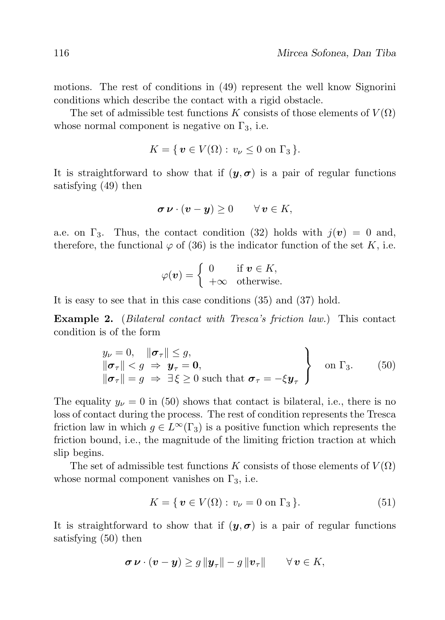motions. The rest of conditions in (49) represent the well know Signorini conditions which describe the contact with a rigid obstacle.

The set of admissible test functions K consists of those elements of  $V(\Omega)$ whose normal component is negative on  $\Gamma_3$ , i.e.

$$
K = \{ \, \boldsymbol{v} \in V(\Omega) : v_{\nu} \leq 0 \text{ on } \Gamma_3 \, \}.
$$

It is straightforward to show that if  $(y, \sigma)$  is a pair of regular functions satisfying (49) then

$$
\boldsymbol{\sigma}\,\boldsymbol{\nu}\cdot(\boldsymbol{v}-\boldsymbol{y})\geq 0\qquad\forall\,\boldsymbol{v}\in K,
$$

a.e. on  $\Gamma_3$ . Thus, the contact condition (32) holds with  $j(v) = 0$  and, therefore, the functional  $\varphi$  of (36) is the indicator function of the set K, i.e.

$$
\varphi(\boldsymbol{v}) = \begin{cases} 0 & \text{if } \boldsymbol{v} \in K, \\ +\infty & \text{otherwise.} \end{cases}
$$

It is easy to see that in this case conditions (35) and (37) hold.

Example 2. (Bilateral contact with Tresca's friction law.) This contact condition is of the form

$$
\begin{array}{l}\ny_{\nu} = 0, \quad \|\boldsymbol{\sigma}_{\tau}\| \leq g, \\
\|\boldsymbol{\sigma}_{\tau}\| < g \Rightarrow \boldsymbol{y}_{\tau} = \mathbf{0}, \\
\|\boldsymbol{\sigma}_{\tau}\| = g \Rightarrow \exists \xi \geq 0 \text{ such that } \boldsymbol{\sigma}_{\tau} = -\xi \boldsymbol{y}_{\tau}\n\end{array}\n\bigg\} \quad \text{on } \Gamma_{3}. \tag{50}
$$

The equality  $y_{\nu} = 0$  in (50) shows that contact is bilateral, i.e., there is no loss of contact during the process. The rest of condition represents the Tresca friction law in which  $g \in L^{\infty}(\Gamma_3)$  is a positive function which represents the friction bound, i.e., the magnitude of the limiting friction traction at which slip begins.

The set of admissible test functions K consists of those elements of  $V(\Omega)$ whose normal component vanishes on  $\Gamma_3$ , i.e.

$$
K = \{ \mathbf{v} \in V(\Omega) : v_{\nu} = 0 \text{ on } \Gamma_3 \}. \tag{51}
$$

It is straightforward to show that if  $(y, \sigma)$  is a pair of regular functions satisfying (50) then

$$
\boldsymbol{\sigma}\,\boldsymbol{\nu}\cdot(\boldsymbol{v}-\boldsymbol{y})\geq g\,\|\boldsymbol{y}_\tau\|-g\,\|\boldsymbol{v}_\tau\|\qquad\forall\,\boldsymbol{v}\in K,
$$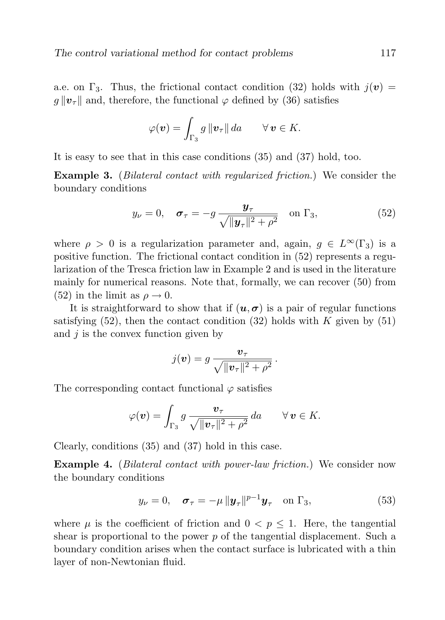a.e. on  $\Gamma_3$ . Thus, the frictional contact condition (32) holds with  $j(v)$  =  $g \| v_\tau \|$  and, therefore, the functional  $\varphi$  defined by (36) satisfies

$$
\varphi(\boldsymbol{v}) = \int_{\Gamma_3} g \|\boldsymbol{v}_\tau\| \, da \qquad \forall \, \boldsymbol{v} \in K.
$$

It is easy to see that in this case conditions (35) and (37) hold, too.

Example 3. (Bilateral contact with regularized friction.) We consider the boundary conditions

$$
y_{\nu} = 0, \quad \sigma_{\tau} = -g \frac{\mathbf{y}_{\tau}}{\sqrt{\|\mathbf{y}_{\tau}\|^2 + \rho^2}} \quad \text{on } \Gamma_3,
$$
 (52)

where  $\rho > 0$  is a regularization parameter and, again,  $q \in L^{\infty}(\Gamma_3)$  is a positive function. The frictional contact condition in (52) represents a regularization of the Tresca friction law in Example 2 and is used in the literature mainly for numerical reasons. Note that, formally, we can recover (50) from (52) in the limit as  $\rho \rightarrow 0$ .

It is straightforward to show that if  $(u, \sigma)$  is a pair of regular functions satisfying  $(52)$ , then the contact condition  $(32)$  holds with K given by  $(51)$ and  $j$  is the convex function given by

$$
j(\boldsymbol{v}) = g \, \frac{\boldsymbol{v}_{\tau}}{\sqrt{\|\boldsymbol{v}_{\tau}\|^2 + \rho^2}}.
$$

The corresponding contact functional  $\varphi$  satisfies

$$
\varphi(\boldsymbol{v}) = \int_{\Gamma_3} g \, \frac{\boldsymbol{v}_{\tau}}{\sqrt{\|\boldsymbol{v}_{\tau}\|^2 + \rho^2}} \, da \qquad \forall \, \boldsymbol{v} \in K.
$$

Clearly, conditions (35) and (37) hold in this case.

Example 4. (Bilateral contact with power-law friction.) We consider now the boundary conditions

$$
y_{\nu} = 0, \quad \sigma_{\tau} = -\mu \left\| \boldsymbol{y}_{\tau} \right\|^{p-1} \boldsymbol{y}_{\tau} \quad \text{on } \Gamma_3,
$$
 (53)

where  $\mu$  is the coefficient of friction and  $0 < p < 1$ . Here, the tangential shear is proportional to the power  $p$  of the tangential displacement. Such a boundary condition arises when the contact surface is lubricated with a thin layer of non-Newtonian fluid.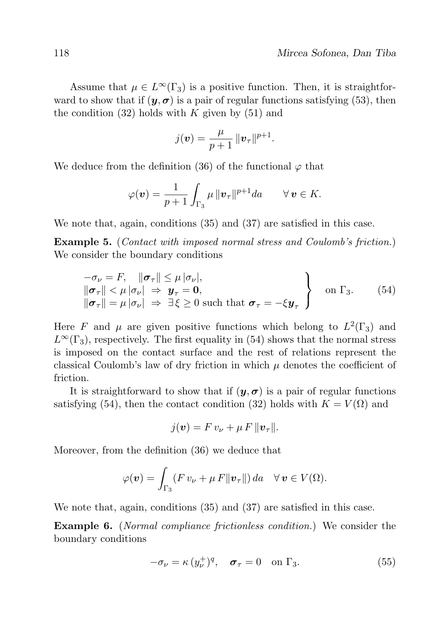Assume that  $\mu \in L^{\infty}(\Gamma_3)$  is a positive function. Then, it is straightforward to show that if  $(\mathbf{y}, \mathbf{\sigma})$  is a pair of regular functions satisfying (53), then the condition  $(32)$  holds with K given by  $(51)$  and

$$
j(\boldsymbol{v}) = \frac{\mu}{p+1} ||\boldsymbol{v}_{\tau}||^{p+1}.
$$

We deduce from the definition (36) of the functional  $\varphi$  that

$$
\varphi(\boldsymbol{v}) = \frac{1}{p+1} \int_{\Gamma_3} \mu \, ||\boldsymbol{v}_\tau||^{p+1} da \qquad \forall \, \boldsymbol{v} \in K.
$$

We note that, again, conditions (35) and (37) are satisfied in this case.

Example 5. (Contact with imposed normal stress and Coulomb's friction.) We consider the boundary conditions

$$
\begin{array}{l}\n-\sigma_{\nu} = F, \quad \|\boldsymbol{\sigma}_{\tau}\| \leq \mu \, |\sigma_{\nu}|, \\
\|\boldsymbol{\sigma}_{\tau}\| < \mu \, |\sigma_{\nu}| \Rightarrow \boldsymbol{y}_{\tau} = \mathbf{0}, \\
\|\boldsymbol{\sigma}_{\tau}\| = \mu \, |\sigma_{\nu}| \Rightarrow \exists \, \xi \geq 0 \text{ such that } \boldsymbol{\sigma}_{\tau} = -\xi \boldsymbol{y}_{\tau}\n\end{array}\n\bigg\} \quad \text{on } \Gamma_{3}. \tag{54}
$$

Here F and  $\mu$  are given positive functions which belong to  $L^2(\Gamma_3)$  and  $L^{\infty}(\Gamma_3)$ , respectively. The first equality in (54) shows that the normal stress is imposed on the contact surface and the rest of relations represent the classical Coulomb's law of dry friction in which  $\mu$  denotes the coefficient of friction.

It is straightforward to show that if  $(y, \sigma)$  is a pair of regular functions satisfying (54), then the contact condition (32) holds with  $K = V(\Omega)$  and

$$
j(\boldsymbol{v})=F\,v_{\nu}+\mu\,F\,\|\boldsymbol{v}_{\tau}\|.
$$

Moreover, from the definition (36) we deduce that

$$
\varphi(\boldsymbol{v}) = \int_{\Gamma_3} (F v_{\nu} + \mu F \|\boldsymbol{v}_{\tau}\|) da \quad \forall \, \boldsymbol{v} \in V(\Omega).
$$

We note that, again, conditions (35) and (37) are satisfied in this case.

Example 6. (Normal compliance frictionless condition.) We consider the boundary conditions

$$
-\sigma_{\nu} = \kappa (y_{\nu}^{+})^{q}, \quad \sigma_{\tau} = 0 \quad \text{on } \Gamma_{3}.
$$
 (55)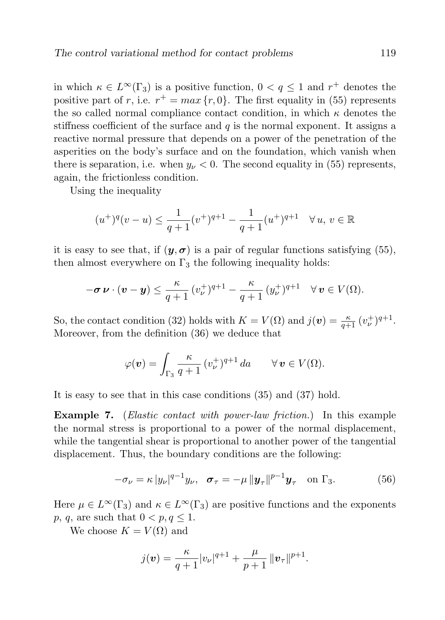in which  $\kappa \in L^{\infty}(\Gamma_3)$  is a positive function,  $0 < q \leq 1$  and  $r^+$  denotes the positive part of r, i.e.  $r^+ = max\{r, 0\}$ . The first equality in (55) represents the so called normal compliance contact condition, in which  $\kappa$  denotes the stiffness coefficient of the surface and  $q$  is the normal exponent. It assigns a reactive normal pressure that depends on a power of the penetration of the asperities on the body's surface and on the foundation, which vanish when there is separation, i.e. when  $y_{\nu} < 0$ . The second equality in (55) represents, again, the frictionless condition.

Using the inequality

$$
(u^+)^q(v-u) \le \frac{1}{q+1}(v^+)^{q+1} - \frac{1}{q+1}(u^+)^{q+1} \quad \forall u, v \in \mathbb{R}
$$

it is easy to see that, if  $(y, \sigma)$  is a pair of regular functions satisfying (55), then almost everywhere on  $\Gamma_3$  the following inequality holds:

$$
-\boldsymbol{\sigma}\,\boldsymbol{\nu}\cdot(\boldsymbol{v}-\boldsymbol{y})\leq\frac{\kappa}{q+1}\,(v_{\boldsymbol{\nu}}^+)^{q+1}-\frac{\kappa}{q+1}\,(y_{\boldsymbol{\nu}}^+)^{q+1}\quad\forall\,\boldsymbol{v}\in V(\Omega).
$$

So, the contact condition (32) holds with  $K = V(\Omega)$  and  $j(\boldsymbol{v}) = \frac{\kappa}{q+1} (v_{\nu}^+)^{q+1}$ . Moreover, from the definition (36) we deduce that

$$
\varphi(\boldsymbol{v}) = \int_{\Gamma_3} \frac{\kappa}{q+1} \, (v_{\nu}^+)^{q+1} \, da \qquad \forall \, \boldsymbol{v} \in V(\Omega).
$$

It is easy to see that in this case conditions (35) and (37) hold.

**Example 7.** (*Elastic contact with power-law friction.*) In this example the normal stress is proportional to a power of the normal displacement, while the tangential shear is proportional to another power of the tangential displacement. Thus, the boundary conditions are the following:

$$
-\sigma_{\nu} = \kappa |y_{\nu}|^{q-1} y_{\nu}, \quad \sigma_{\tau} = -\mu |y_{\tau}|^{p-1} y_{\tau} \quad \text{on } \Gamma_3. \tag{56}
$$

Here  $\mu \in L^{\infty}(\Gamma_3)$  and  $\kappa \in L^{\infty}(\Gamma_3)$  are positive functions and the exponents p, q, are such that  $0 < p, q \leq 1$ .

We choose  $K = V(\Omega)$  and

$$
j(\boldsymbol{v}) = \frac{\kappa}{q+1} |v_{\nu}|^{q+1} + \frac{\mu}{p+1} ||\boldsymbol{v}_{\tau}||^{p+1}.
$$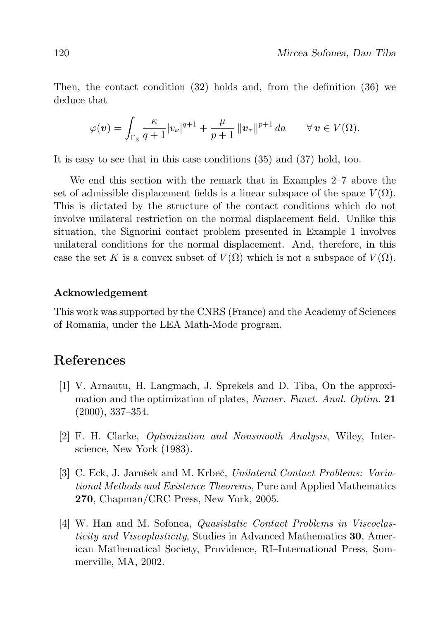Then, the contact condition (32) holds and, from the definition (36) we deduce that

$$
\varphi(\boldsymbol{v}) = \int_{\Gamma_3} \frac{\kappa}{q+1} |v_\nu|^{q+1} + \frac{\mu}{p+1} ||\boldsymbol{v}_\tau||^{p+1} da \qquad \forall \, \boldsymbol{v} \in V(\Omega).
$$

It is easy to see that in this case conditions (35) and (37) hold, too.

We end this section with the remark that in Examples 2–7 above the set of admissible displacement fields is a linear subspace of the space  $V(\Omega)$ . This is dictated by the structure of the contact conditions which do not involve unilateral restriction on the normal displacement field. Unlike this situation, the Signorini contact problem presented in Example 1 involves unilateral conditions for the normal displacement. And, therefore, in this case the set K is a convex subset of  $V(\Omega)$  which is not a subspace of  $V(\Omega)$ .

#### Acknowledgement

This work was supported by the CNRS (France) and the Academy of Sciences of Romania, under the LEA Math-Mode program.

## References

- [1] V. Arnautu, H. Langmach, J. Sprekels and D. Tiba, On the approximation and the optimization of plates, Numer. Funct. Anal. Optim. 21 (2000), 337–354.
- [2] F. H. Clarke, Optimization and Nonsmooth Analysis, Wiley, Interscience, New York (1983).
- [3] C. Eck, J. Jarušek and M. Krbeč, Unilateral Contact Problems: Variational Methods and Existence Theorems, Pure and Applied Mathematics 270, Chapman/CRC Press, New York, 2005.
- [4] W. Han and M. Sofonea, Quasistatic Contact Problems in Viscoelasticity and Viscoplasticity, Studies in Advanced Mathematics 30, American Mathematical Society, Providence, RI–International Press, Sommerville, MA, 2002.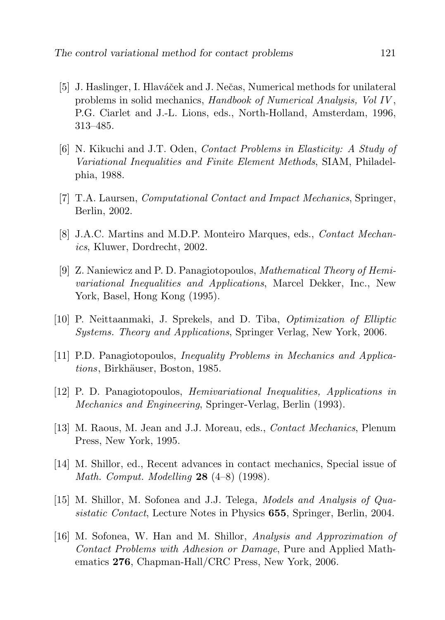- [5] J. Haslinger, I. Hlaváček and J. Nečas, Numerical methods for unilateral problems in solid mechanics, Handbook of Numerical Analysis, Vol IV , P.G. Ciarlet and J.-L. Lions, eds., North-Holland, Amsterdam, 1996, 313–485.
- [6] N. Kikuchi and J.T. Oden, Contact Problems in Elasticity: A Study of Variational Inequalities and Finite Element Methods, SIAM, Philadelphia, 1988.
- [7] T.A. Laursen, Computational Contact and Impact Mechanics, Springer, Berlin, 2002.
- [8] J.A.C. Martins and M.D.P. Monteiro Marques, eds., Contact Mechanics, Kluwer, Dordrecht, 2002.
- [9] Z. Naniewicz and P. D. Panagiotopoulos, Mathematical Theory of Hemivariational Inequalities and Applications, Marcel Dekker, Inc., New York, Basel, Hong Kong (1995).
- [10] P. Neittaanmaki, J. Sprekels, and D. Tiba, Optimization of Elliptic Systems. Theory and Applications, Springer Verlag, New York, 2006.
- [11] P.D. Panagiotopoulos, Inequality Problems in Mechanics and Applications, Birkhäuser, Boston, 1985.
- [12] P. D. Panagiotopoulos, Hemivariational Inequalities, Applications in Mechanics and Engineering, Springer-Verlag, Berlin (1993).
- [13] M. Raous, M. Jean and J.J. Moreau, eds., Contact Mechanics, Plenum Press, New York, 1995.
- [14] M. Shillor, ed., Recent advances in contact mechanics, Special issue of *Math. Comput. Modelling* **28**  $(4-8)$   $(1998)$ .
- [15] M. Shillor, M. Sofonea and J.J. Telega, Models and Analysis of Quasistatic Contact, Lecture Notes in Physics 655, Springer, Berlin, 2004.
- [16] M. Sofonea, W. Han and M. Shillor, Analysis and Approximation of Contact Problems with Adhesion or Damage, Pure and Applied Mathematics 276, Chapman-Hall/CRC Press, New York, 2006.